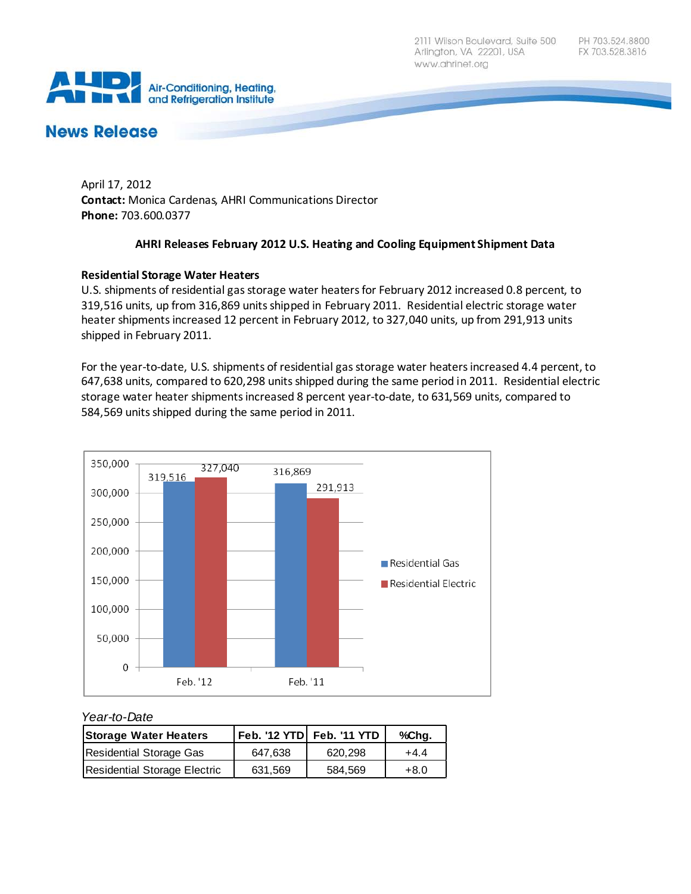2111 Wilson Boulevard, Suite 500 Arlington, VA 22201, USA www.ahrinet.org



# **News Release**

April 17, 2012 **Contact:** Monica Cardenas, AHRI Communications Director **Phone:** 703.600.0377

#### **AHRI Releases February 2012 U.S. Heating and Cooling Equipment Shipment Data**

# **Residential Storage Water Heaters**

U.S. shipments of residential gas storage water heaters for February 2012 increased 0.8 percent, to 319,516 units, up from 316,869 units shipped in February 2011. Residential electric storage water heater shipments increased 12 percent in February 2012, to 327,040 units, up from 291,913 units shipped in February 2011.

For the year-to-date, U.S. shipments of residential gas storage water heaters increased 4.4 percent, to 647,638 units, compared to 620,298 units shipped during the same period in 2011. Residential electric storage water heater shipments increased 8 percent year-to-date, to 631,569 units, compared to 584,569 units shipped during the same period in 2011.



#### *Year-to-Date*

| <b>Storage Water Heaters</b> |         |         | %Chq.  |
|------------------------------|---------|---------|--------|
| Residential Storage Gas      | 647.638 | 620.298 | $+4.4$ |
| Residential Storage Electric | 631.569 | 584.569 | $+8.0$ |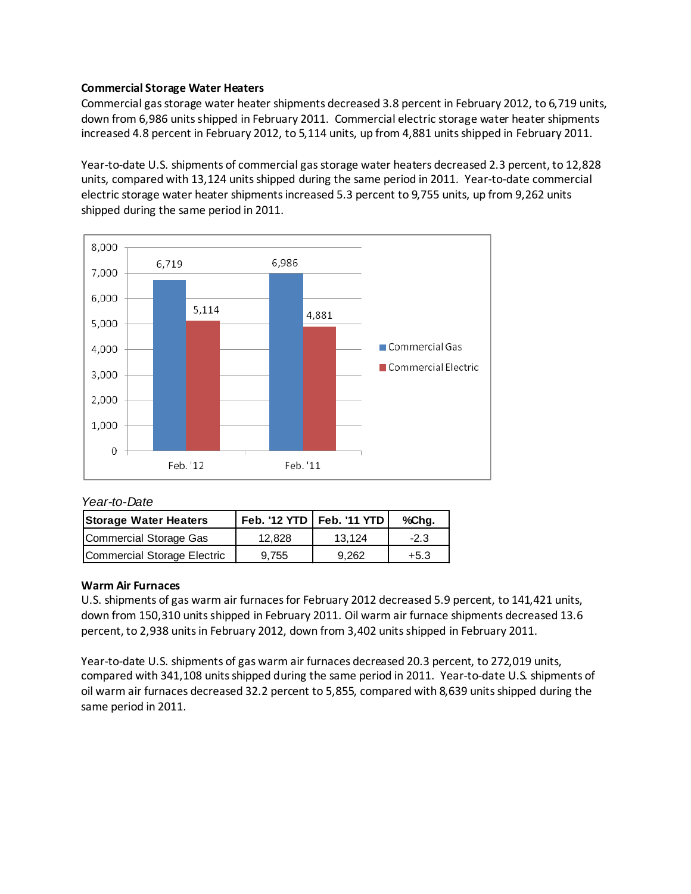### **Commercial Storage Water Heaters**

Commercial gas storage water heater shipments decreased 3.8 percent in February 2012, to 6,719 units, down from 6,986 units shipped in February 2011. Commercial electric storage water heater shipments increased 4.8 percent in February 2012, to 5,114 units, up from 4,881 units shipped in February 2011.

Year-to-date U.S. shipments of commercial gas storage water heaters decreased 2.3 percent, to 12,828 units, compared with 13,124 units shipped during the same period in 2011. Year-to-date commercial electric storage water heater shipments increased 5.3 percent to 9,755 units, up from 9,262 units shipped during the same period in 2011.



#### *Year-to-Date*

| <b>Storage Water Heaters</b> |        | Feb. '12 YTD   Feb. '11 YTD | %Chg.  |
|------------------------------|--------|-----------------------------|--------|
| Commercial Storage Gas       | 12,828 | 13.124                      | $-2.3$ |
| Commercial Storage Electric  | 9.755  | 9.262                       | $+5.3$ |

#### **Warm Air Furnaces**

U.S. shipments of gas warm air furnaces for February 2012 decreased 5.9 percent, to 141,421 units, down from 150,310 units shipped in February 2011. Oil warm air furnace shipments decreased 13.6 percent, to 2,938 units in February 2012, down from 3,402 units shipped in February 2011.

Year-to-date U.S. shipments of gas warm air furnaces decreased 20.3 percent, to 272,019 units, compared with 341,108 units shipped during the same period in 2011. Year-to-date U.S. shipments of oil warm air furnaces decreased 32.2 percent to 5,855, compared with 8,639 units shipped during the same period in 2011.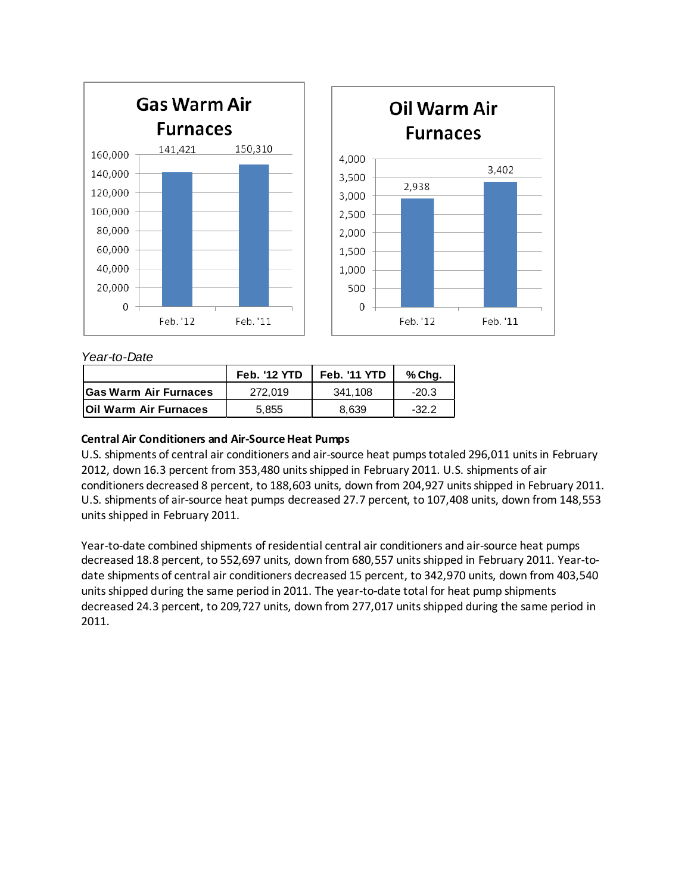

# *Year-to-Date*

|                              | <b>Feb. '12 YTD</b> | <b>Feb. '11 YTD</b> | % Chg.  |
|------------------------------|---------------------|---------------------|---------|
| <b>Gas Warm Air Furnaces</b> | 272.019             | 341.108             | $-20.3$ |
| <b>Oil Warm Air Furnaces</b> | 5,855               | 8.639               | $-32.2$ |

# **Central Air Conditioners and Air-Source Heat Pumps**

U.S. shipments of central air conditioners and air-source heat pumps totaled 296,011 units in February 2012, down 16.3 percent from 353,480 units shipped in February 2011. U.S. shipments of air conditioners decreased 8 percent, to 188,603 units, down from 204,927 units shipped in February 2011. U.S. shipments of air-source heat pumps decreased 27.7 percent, to 107,408 units, down from 148,553 units shipped in February 2011.

Year-to-date combined shipments of residential central air conditioners and air-source heat pumps decreased 18.8 percent, to 552,697 units, down from 680,557 units shipped in February 2011. Year-todate shipments of central air conditioners decreased 15 percent, to 342,970 units, down from 403,540 units shipped during the same period in 2011. The year-to-date total for heat pump shipments decreased 24.3 percent, to 209,727 units, down from 277,017 units shipped during the same period in 2011.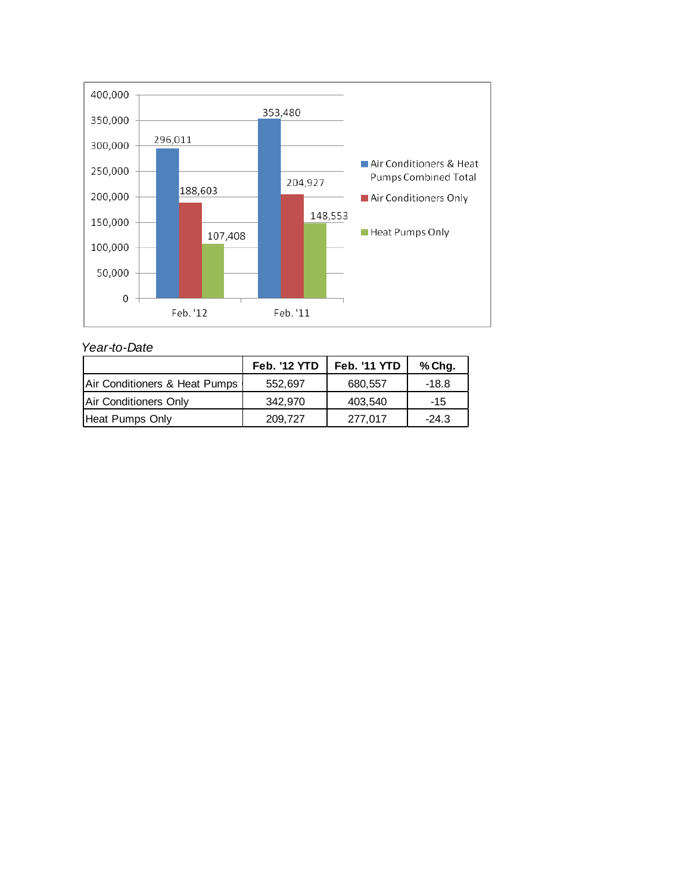

*Year-to-Date*

|                               | <b>Feb. '12 YTD</b> | <b>Feb. '11 YTD</b> | % Chg.  |
|-------------------------------|---------------------|---------------------|---------|
| Air Conditioners & Heat Pumps | 552,697             | 680,557             | -18.8   |
| Air Conditioners Only         | 342.970             | 403,540             | $-15$   |
| Heat Pumps Only               | 209,727             | 277,017             | $-24.3$ |